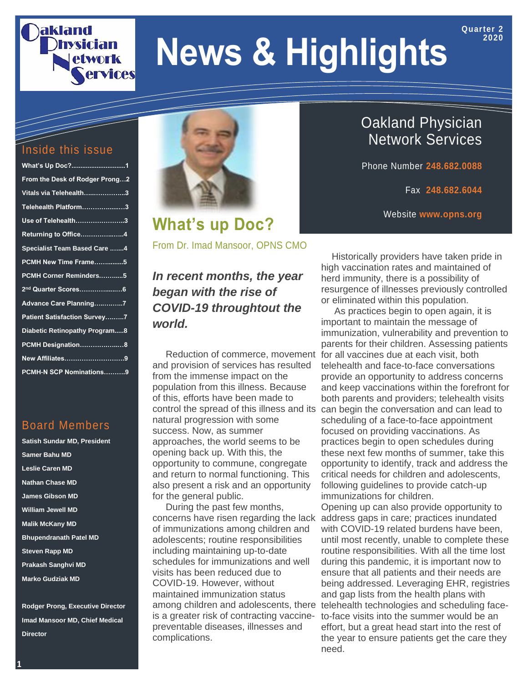## akland **etwork** ervices

# **News & Highlights**

#### Inside this issue

| What's Up Doc?1                     |  |
|-------------------------------------|--|
| From the Desk of Rodger Prong2      |  |
| Vitals via Telehealth3              |  |
| Telehealth Platform3                |  |
| Use of Telehealth3                  |  |
| Returning to Office4                |  |
| <b>Specialist Team Based Care 4</b> |  |
| PCMH New Time Frame5                |  |
| PCMH Corner Reminders5              |  |
| 2 <sup>nd</sup> Quarter Scores6     |  |
| Advance Care Planning7              |  |
| <b>Patient Satisfaction Survey7</b> |  |
| Diabetic Retinopathy Program8       |  |
| PCMH Designation8                   |  |
| New Affiliates9                     |  |
| PCMH-N SCP Nominations9             |  |

#### Board Members

**Satish Sundar MD, President Samer Bahu MD Leslie Caren MD Nathan Chase MD James Gibson MD William Jewell MD Malik McKany MD Bhupendranath Patel MD Steven Rapp MD Prakash Sanghvi MD Marko Gudziak MD**

**Rodger Prong, Executive Director Imad Mansoor MD, Chief Medical Director**



**What's up Doc?**

From Dr. Imad Mansoor, OPNS CMO

*In recent months, the year began with the rise of COVID-19 throughtout the world.*

 Reduction of commerce, movement and provision of services has resulted from the immense impact on the population from this illness. Because of this, efforts have been made to control the spread of this illness and its natural progression with some success. Now, as summer approaches, the world seems to be opening back up. With this, the opportunity to commune, congregate and return to normal functioning. This also present a risk and an opportunity for the general public.

 During the past few months, concerns have risen regarding the lack of immunizations among children and adolescents; routine responsibilities including maintaining up-to-date schedules for immunizations and well visits has been reduced due to COVID-19. However, without maintained immunization status among children and adolescents, there is a greater risk of contracting vaccinepreventable diseases, illnesses and complications.

Oakland Physician Network Services

Phone Number **248.682.0088**

Fax **248.682.6044**

**Quarter 2 2020**

Website **www.opns.org**

 Historically providers have taken pride in high vaccination rates and maintained of herd immunity, there is a possibility of resurgence of illnesses previously controlled or eliminated within this population.

 As practices begin to open again, it is important to maintain the message of immunization, vulnerability and prevention to parents for their children. Assessing patients for all vaccines due at each visit, both telehealth and face-to-face conversations provide an opportunity to address concerns and keep vaccinations within the forefront for both parents and providers; telehealth visits can begin the conversation and can lead to scheduling of a face-to-face appointment focused on providing vaccinations. As practices begin to open schedules during these next few months of summer, take this opportunity to identify, track and address the critical needs for children and adolescents, following guidelines to provide catch-up immunizations for children.

Opening up can also provide opportunity to address gaps in care; practices inundated with COVID-19 related burdens have been. until most recently, unable to complete these routine responsibilities. With all the time lost during this pandemic, it is important now to ensure that all patients and their needs are being addressed. Leveraging EHR, registries and gap lists from the health plans with telehealth technologies and scheduling faceto-face visits into the summer would be an effort, but a great head start into the rest of the year to ensure patients get the care they need.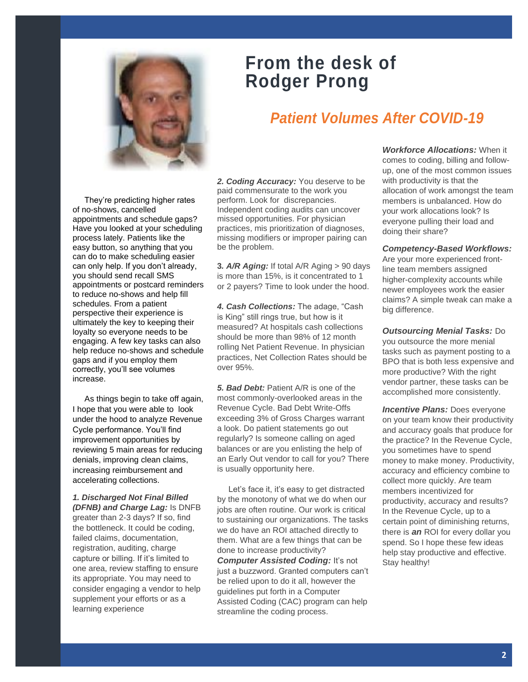

### **From the desk of Rodger Prong**

### *Patient Volumes After COVID-19*

 They're predicting higher rates of no-shows, cancelled appointments and schedule gaps? Have you looked at your scheduling process lately. Patients like the easy button, so anything that you can do to make scheduling easier can only help. If you don't already, you should send recall SMS appointments or postcard reminders to reduce no-shows and help fill schedules. From a patient perspective their experience is ultimately the key to keeping their loyalty so everyone needs to be engaging. A few key tasks can also help reduce no-shows and schedule gaps and if you employ them correctly, you'll see volumes increase.

 As things begin to take off again, I hope that you were able to look under the hood to analyze Revenue Cycle performance. You'll find improvement opportunities by reviewing 5 main areas for reducing denials, improving clean claims, increasing reimbursement and accelerating collections.

*1. Discharged Not Final Billed (DFNB) and Charge Lag:* Is DNFB greater than 2-3 days? If so, find the bottleneck. It could be coding, failed claims, documentation, registration, auditing, charge capture or billing. If it's limited to one area, review staffing to ensure its appropriate. You may need to consider engaging a vendor to help supplement your efforts or as a learning experience

*2. Coding Accuracy:* You deserve to be paid commensurate to the work you perform. Look for discrepancies. Independent coding audits can uncover missed opportunities. For physician practices, mis prioritization of diagnoses, missing modifiers or improper pairing can be the problem.

**3***. A/R Aging:* If total A/R Aging > 90 days is more than 15%, is it concentrated to 1 or 2 payers? Time to look under the hood.

*4. Cash Collections:* The adage, "Cash is King" still rings true, but how is it measured? At hospitals cash collections should be more than 98% of 12 month rolling Net Patient Revenue. In physician practices, Net Collection Rates should be over 95%.

*5. Bad Debt:* Patient A/R is one of the most commonly-overlooked areas in the Revenue Cycle. Bad Debt Write-Offs exceeding 3% of Gross Charges warrant a look. Do patient statements go out regularly? Is someone calling on aged balances or are you enlisting the help of an Early Out vendor to call for you? There is usually opportunity here.

 Let's face it, it's easy to get distracted by the monotony of what we do when our jobs are often routine. Our work is critical to sustaining our organizations. The tasks we do have an ROI attached directly to them. What are a few things that can be done to increase productivity?

*Computer Assisted Coding: It's not* just a buzzword. Granted computers can't be relied upon to do it all, however the guidelines put forth in a Computer Assisted Coding (CAC) program can help streamline the coding process.

*Workforce Allocations:* When it comes to coding, billing and followup, one of the most common issues with productivity is that the allocation of work amongst the team members is unbalanced. How do your work allocations look? Is everyone pulling their load and doing their share?

*Competency-Based Workflows:* 

Are your more experienced frontline team members assigned higher-complexity accounts while newer employees work the easier claims? A simple tweak can make a big difference.

*Outsourcing Menial Tasks:* Do you outsource the more menial tasks such as payment posting to a BPO that is both less expensive and more productive? With the right vendor partner, these tasks can be accomplished more consistently.

**Incentive Plans: Does everyone** on your team know their productivity and accuracy goals that produce for the practice? In the Revenue Cycle, you sometimes have to spend money to make money. Productivity, accuracy and efficiency combine to collect more quickly. Are team members incentivized for productivity, accuracy and results? In the Revenue Cycle, up to a certain point of diminishing returns, there is *an* ROI for every dollar you spend. So I hope these few ideas help stay productive and effective. Stay healthy!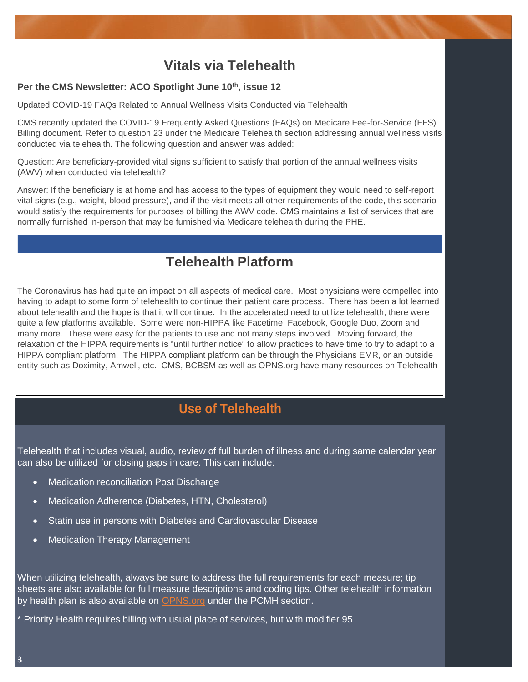#### **Vitals via Telehealth**

#### **Per the CMS Newsletter: ACO Spotlight June 10th, issue 12**

Updated COVID-19 FAQs Related to Annual Wellness Visits Conducted via Telehealth

CMS recently updated the COVID-19 Frequently Asked Questions (FAQs) on Medicare Fee-for-Service (FFS) Billing document. Refer to question 23 under the Medicare Telehealth section addressing annual wellness visits conducted via telehealth. The following question and answer was added:

Question: Are beneficiary-provided vital signs sufficient to satisfy that portion of the annual wellness visits (AWV) when conducted via telehealth?

Answer: If the beneficiary is at home and has access to the types of equipment they would need to self-report vital signs (e.g., weight, blood pressure), and if the visit meets all other requirements of the code, this scenario would satisfy the requirements for purposes of billing the AWV code. CMS maintains a list of services that are normally furnished in-person that may be furnished via Medicare telehealth during the PHE.

#### **Telehealth Platform**

The Coronavirus has had quite an impact on all aspects of medical care. Most physicians were compelled into having to adapt to some form of telehealth to continue their patient care process. There has been a lot learned about telehealth and the hope is that it will continue. In the accelerated need to utilize telehealth, there were quite a few platforms available. Some were non-HIPPA like Facetime, Facebook, Google Duo, Zoom and many more. These were easy for the patients to use and not many steps involved. Moving forward, the relaxation of the HIPPA requirements is "until further notice" to allow practices to have time to try to adapt to a HIPPA compliant platform. The HIPPA compliant platform can be through the Physicians EMR, or an outside entity such as Doximity, Amwell, etc. CMS, BCBSM as well as OPNS.org have many resources on Telehealth

### **Use of Telehealth**

Telehealth that includes visual, audio, review of full burden of illness and during same calendar year can also be utilized for closing gaps in care. This can include:

- Medication reconciliation Post Discharge
- Medication Adherence (Diabetes, HTN, Cholesterol)
- Statin use in persons with Diabetes and Cardiovascular Disease
- **Medication Therapy Management**

When utilizing telehealth, always be sure to address the full requirements for each measure; tip sheets are also available for full measure descriptions and coding tips. Other telehealth information by health plan is also available on **OPNS.org** under the PCMH section.

\* Priority Health requires billing with usual place of services, but with modifier 95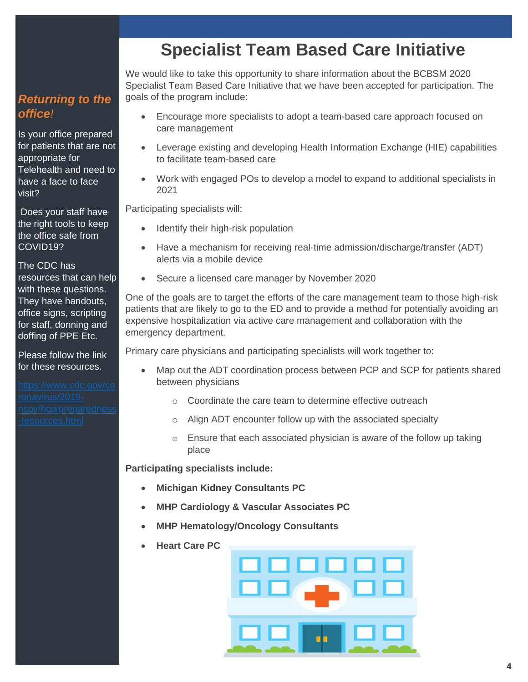#### *Returning to the office!*

Is your office prepared for patients that are not appropriate for Telehealth and need to have a face to face visit?

Does your staff have the right tools to keep the office safe from COVID19?

#### The CDC has

resources that can help with these questions. They have handouts, office signs, scripting for staff, donning and doffing of PPE Etc.

Please follow the link for these resources.

### **Specialist Team Based Care Initiative**

We would like to take this opportunity to share information about the BCBSM 2020 Specialist Team Based Care Initiative that we have been accepted for participation. The goals of the program include:

- Encourage more specialists to adopt a team-based care approach focused on care management
- Leverage existing and developing Health Information Exchange (HIE) capabilities to facilitate team-based care
- Work with engaged POs to develop a model to expand to additional specialists in 2021

Participating specialists will:

- Identify their high-risk population
- Have a mechanism for receiving real-time admission/discharge/transfer (ADT) alerts via a mobile device
- Secure a licensed care manager by November 2020

One of the goals are to target the efforts of the care management team to those high-risk patients that are likely to go to the ED and to provide a method for potentially avoiding an expensive hospitalization via active care management and collaboration with the emergency department.

Primary care physicians and participating specialists will work together to:

- Map out the ADT coordination process between PCP and SCP for patients shared between physicians
	- o Coordinate the care team to determine effective outreach
	- o Align ADT encounter follow up with the associated specialty
	- $\circ$  Ensure that each associated physician is aware of the follow up taking place

**Participating specialists include:**

- **Michigan Kidney Consultants PC**
- **MHP Cardiology & Vascular Associates PC**
- **MHP Hematology/Oncology Consultants**
- **Heart Care PC**

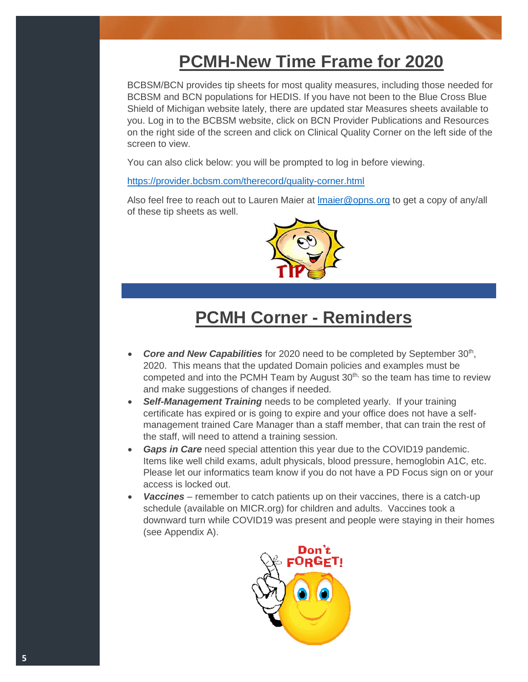### **PCMH-New Time Frame for 2020**

BCBSM/BCN provides tip sheets for most quality measures, including those needed for BCBSM and BCN populations for HEDIS. If you have not been to the Blue Cross Blue Shield of Michigan website lately, there are updated star Measures sheets available to you. Log in to the BCBSM website, click on BCN Provider Publications and Resources on the right side of the screen and click on Clinical Quality Corner on the left side of the screen to view.

You can also click below: you will be prompted to log in before viewing.

<https://provider.bcbsm.com/therecord/quality-corner.html>

Also feel free to reach out to Lauren Maier at [lmaier@opns.org](mailto:lmaier@opns.org) to get a copy of any/all of these tip sheets as well.



### **PCMH Corner - Reminders**

- Core and New Capabilities for 2020 need to be completed by September 30<sup>th</sup>, 2020. This means that the updated Domain policies and examples must be competed and into the PCMH Team by August  $30<sup>th</sup>$ , so the team has time to review and make suggestions of changes if needed.
- **Self-Management Training** needs to be completed yearly. If your training certificate has expired or is going to expire and your office does not have a selfmanagement trained Care Manager than a staff member, that can train the rest of the staff, will need to attend a training session.
- *Gaps in Care* need special attention this year due to the COVID19 pandemic. Items like well child exams, adult physicals, blood pressure, hemoglobin A1C, etc. Please let our informatics team know if you do not have a PD Focus sign on or your access is locked out.
- Vaccines remember to catch patients up on their vaccines, there is a catch-up schedule (available on MICR.org) for children and adults. Vaccines took a downward turn while COVID19 was present and people were staying in their homes (see Appendix A).

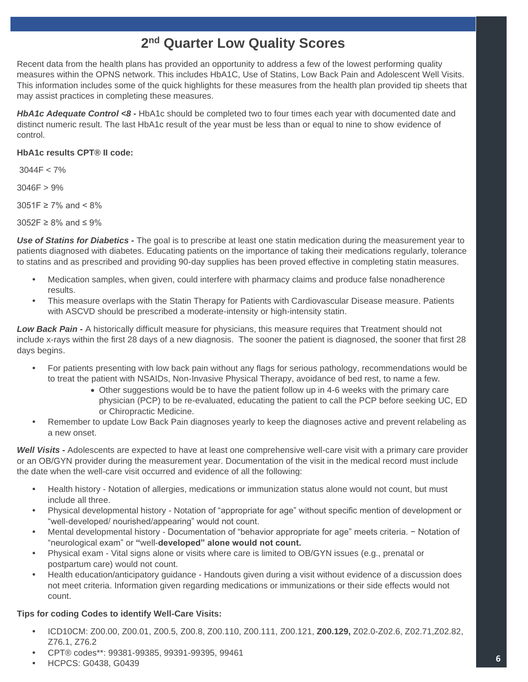#### **2 nd Quarter Low Quality Scores**

Recent data from the health plans has provided an opportunity to address a few of the lowest performing quality measures within the OPNS network. This includes HbA1C, Use of Statins, Low Back Pain and Adolescent Well Visits. This information includes some of the quick highlights for these measures from the health plan provided tip sheets that may assist practices in completing these measures.

*HbA1c Adequate Control <8 -* HbA1c should be completed two to four times each year with documented date and distinct numeric result. The last HbA1c result of the year must be less than or equal to nine to show evidence of control.

#### **HbA1c results CPT® II code:**

3044F < 7%

3046F > 9%

3051F ≥ 7% and < 8%

3052F ≥ 8% and ≤ 9%

*Use of Statins for Diabetics -* The goal is to prescribe at least one statin medication during the measurement year to patients diagnosed with diabetes. Educating patients on the importance of taking their medications regularly, tolerance to statins and as prescribed and providing 90-day supplies has been proved effective in completing statin measures.

- **•** Medication samples, when given, could interfere with pharmacy claims and produce false nonadherence results.
- **•** This measure overlaps with the Statin Therapy for Patients with Cardiovascular Disease measure. Patients with ASCVD should be prescribed a moderate-intensity or high-intensity statin.

*Low Back Pain -* A historically difficult measure for physicians, this measure requires that Treatment should not include x-rays within the first 28 days of a new diagnosis. The sooner the patient is diagnosed, the sooner that first 28 days begins.

- **•** For patients presenting with low back pain without any flags for serious pathology, recommendations would be to treat the patient with NSAIDs, Non-Invasive Physical Therapy, avoidance of bed rest, to name a few.
	- Other suggestions would be to have the patient follow up in 4-6 weeks with the primary care physician (PCP) to be re-evaluated, educating the patient to call the PCP before seeking UC, ED or Chiropractic Medicine.
- **•** Remember to update Low Back Pain diagnoses yearly to keep the diagnoses active and prevent relabeling as a new onset.

*Well Visits -* Adolescents are expected to have at least one comprehensive well-care visit with a primary care provider or an OB/GYN provider during the measurement year. Documentation of the visit in the medical record must include the date when the well-care visit occurred and evidence of all the following:

- **•** Health history Notation of allergies, medications or immunization status alone would not count, but must include all three.
- **•** Physical developmental history Notation of "appropriate for age" without specific mention of development or "well-developed/ nourished/appearing" would not count.
- **•** Mental developmental history Documentation of "behavior appropriate for age" meets criteria. − Notation of "neurological exam" or **"**well-**developed" alone would not count.**
- **•** Physical exam Vital signs alone or visits where care is limited to OB/GYN issues (e.g., prenatal or postpartum care) would not count.
- **•** Health education/anticipatory guidance Handouts given during a visit without evidence of a discussion does not meet criteria. Information given regarding medications or immunizations or their side effects would not count.

#### **Tips for coding Codes to identify Well-Care Visits:**

- **•** ICD10CM: Z00.00, Z00.01, Z00.5, Z00.8, Z00.110, Z00.111, Z00.121, **Z00.129,** Z02.0-Z02.6, Z02.71,Z02.82, Z76.1, Z76.2
- **•** CPT® codes\*\*: 99381-99385, 99391-99395, 99461
- **•** HCPCS: G0438, G0439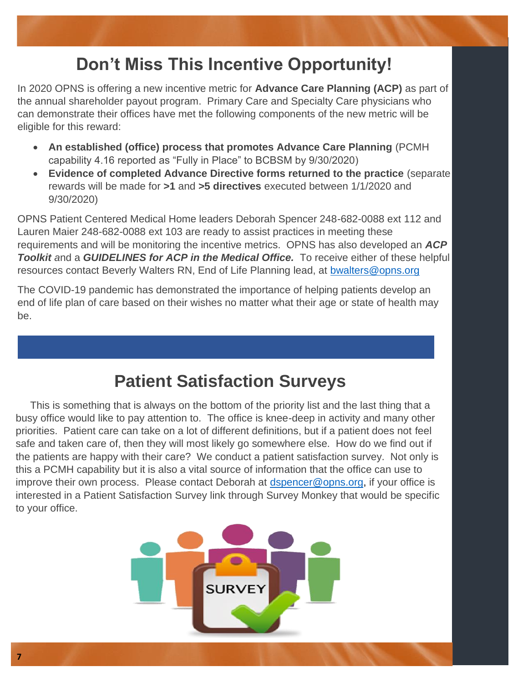### **Don't Miss This Incentive Opportunity!**

In 2020 OPNS is offering a new incentive metric for **Advance Care Planning (ACP)** as part of the annual shareholder payout program. Primary Care and Specialty Care physicians who can demonstrate their offices have met the following components of the new metric will be eligible for this reward:

- **An established (office) process that promotes Advance Care Planning** (PCMH capability 4.16 reported as "Fully in Place" to BCBSM by 9/30/2020)
- **Evidence of completed Advance Directive forms returned to the practice** (separate rewards will be made for **>1** and **>5 directives** executed between 1/1/2020 and 9/30/2020)

OPNS Patient Centered Medical Home leaders Deborah Spencer 248-682-0088 ext 112 and Lauren Maier 248-682-0088 ext 103 are ready to assist practices in meeting these requirements and will be monitoring the incentive metrics. OPNS has also developed an *ACP Toolkit a*nd a *GUIDELINES for ACP in the Medical Office.* To receive either of these helpful resources contact Beverly Walters RN, End of Life Planning lead, at [bwalters@opns.org](mailto:bwalters@opns.org)

The COVID-19 pandemic has demonstrated the importance of helping patients develop an end of life plan of care based on their wishes no matter what their age or state of health may be.

### **Patient Satisfaction Surveys**

 This is something that is always on the bottom of the priority list and the last thing that a busy office would like to pay attention to. The office is knee-deep in activity and many other priorities. Patient care can take on a lot of different definitions, but if a patient does not feel safe and taken care of, then they will most likely go somewhere else. How do we find out if the patients are happy with their care? We conduct a patient satisfaction survey. Not only is this a PCMH capability but it is also a vital source of information that the office can use to improve their own process. Please contact Deborah at [dspencer@opns.org,](mailto:dspencer@opns.org) if your office is interested in a Patient Satisfaction Survey link through Survey Monkey that would be specific to your office.

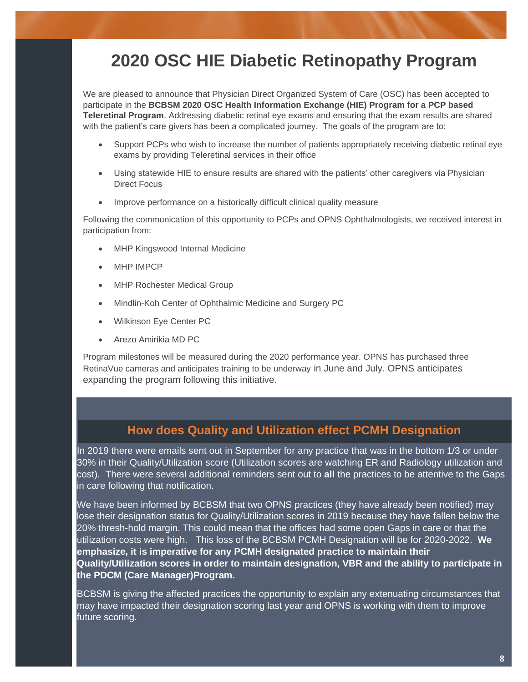### **2020 OSC HIE Diabetic Retinopathy Program**

We are pleased to announce that Physician Direct Organized System of Care (OSC) has been accepted to participate in the **BCBSM 2020 OSC Health Information Exchange (HIE) Program for a PCP based Teleretinal Program**. Addressing diabetic retinal eye exams and ensuring that the exam results are shared with the patient's care givers has been a complicated journey. The goals of the program are to:

- Support PCPs who wish to increase the number of patients appropriately receiving diabetic retinal eye exams by providing Teleretinal services in their office
- Using statewide HIE to ensure results are shared with the patients' other caregivers via Physician Direct Focus
- Improve performance on a historically difficult clinical quality measure

Following the communication of this opportunity to PCPs and OPNS Ophthalmologists, we received interest in participation from:

- **MHP Kingswood Internal Medicine**
- **MHP IMPCP**
- **MHP Rochester Medical Group**
- Mindlin-Koh Center of Ophthalmic Medicine and Surgery PC
- Wilkinson Eye Center PC
- Arezo Amirikia MD PC

Program milestones will be measured during the 2020 performance year. OPNS has purchased three RetinaVue cameras and anticipates training to be underway in June and July. OPNS anticipates expanding the program following this initiative.

#### **How does Quality and Utilization effect PCMH Designation**

In 2019 there were emails sent out in September for any practice that was in the bottom 1/3 or under 30% in their Quality/Utilization score (Utilization scores are watching ER and Radiology utilization and cost). There were several additional reminders sent out to **all** the practices to be attentive to the Gaps in care following that notification.

We have been informed by BCBSM that two OPNS practices (they have already been notified) may lose their designation status for Quality/Utilization scores in 2019 because they have fallen below the 20% thresh-hold margin. This could mean that the offices had some open Gaps in care or that the utilization costs were high. This loss of the BCBSM PCMH Designation will be for 2020-2022. **We emphasize, it is imperative for any PCMH designated practice to maintain their Quality/Utilization scores in order to maintain designation, VBR and the ability to participate in the PDCM (Care Manager)Program.**

BCBSM is giving the affected practices the opportunity to explain any extenuating circumstances that may have impacted their designation scoring last year and OPNS is working with them to improve future scoring.